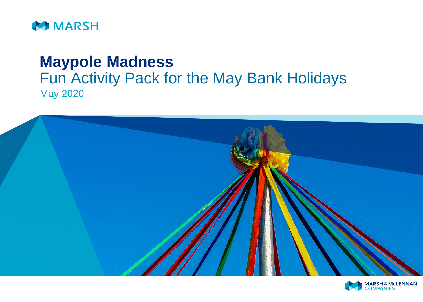

# **Maypole Madness** Fun Activity Pack for the May Bank Holidays May 2020



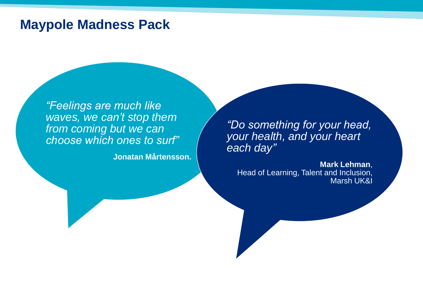# **Maypole Madness Pack**

*"Feelings are much like waves, we can't stop them from coming but we can choose which ones to surf"* 

**Jonatan Mårtensson.**

*"Do something for your head, your health, and your heart each day"*

**Mark Lehman**, Head of Learning, Talent and Inclusion, Marsh UK&I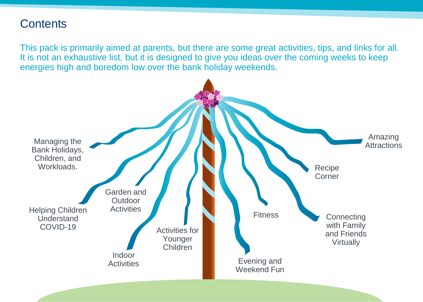## **Contents**

This pack is primarily aimed at parents, but there are some great activities, tips, and links for all. It is not an exhaustive list, but it is designed to give you ideas over the coming weeks to keep energies high and boredom low over the bank holiday weekends.

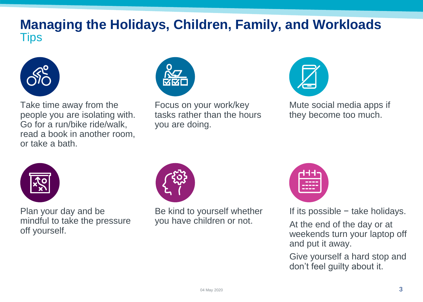# **Managing the Holidays, Children, Family, and Workloads Tips**



Take time away from the people you are isolating with. Go for a run/bike ride/walk, read a book in another room, or take a bath.



Focus on your work/key tasks rather than the hours you are doing.



Mute social media apps if they become too much.



Plan your day and be mindful to take the pressure off yourself.



Be kind to yourself whether you have children or not.



If its possible − take holidays.

At the end of the day or at weekends turn your laptop off and put it away.

Give yourself a hard stop and don't feel guilty about it.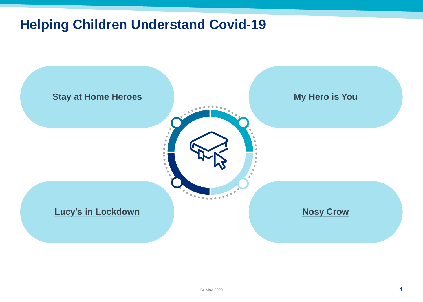# **Helping Children Understand Covid-19**

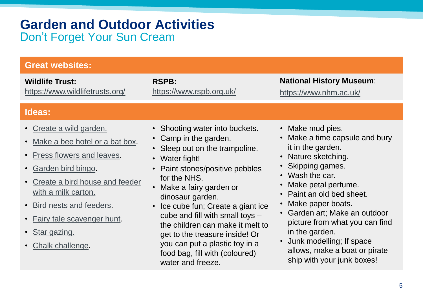# **Garden and Outdoor Activities** Don't Forget Your Sun Cream

| <b>Great websites:</b>                                                                                                                                                                                                                                                                                                                             |                                                                                                                                                                                                                                                                                                                                                                                                        |                                                                                                                                                                                                                                                                                                                                                             |
|----------------------------------------------------------------------------------------------------------------------------------------------------------------------------------------------------------------------------------------------------------------------------------------------------------------------------------------------------|--------------------------------------------------------------------------------------------------------------------------------------------------------------------------------------------------------------------------------------------------------------------------------------------------------------------------------------------------------------------------------------------------------|-------------------------------------------------------------------------------------------------------------------------------------------------------------------------------------------------------------------------------------------------------------------------------------------------------------------------------------------------------------|
| <b>Wildlife Trust:</b><br>https://www.wildlifetrusts.org/                                                                                                                                                                                                                                                                                          | <b>RSPB:</b><br>https://www.rspb.org.uk/                                                                                                                                                                                                                                                                                                                                                               | <b>National History Museum:</b><br>https://www.nhm.ac.uk/                                                                                                                                                                                                                                                                                                   |
| Ideas:                                                                                                                                                                                                                                                                                                                                             |                                                                                                                                                                                                                                                                                                                                                                                                        |                                                                                                                                                                                                                                                                                                                                                             |
| • Create a wild garden.<br>Make a bee hotel or a bat box.<br>$\bullet$<br>Press flowers and leaves.<br>$\bullet$<br>Garden bird bingo.<br>$\bullet$<br>Create a bird house and feeder<br>with a milk carton.<br>Bird nests and feeders.<br>$\bullet$<br>Fairy tale scavenger hunt.<br>$\bullet$<br>• Star gazing.<br>Chalk challenge.<br>$\bullet$ | • Shooting water into buckets.<br>• Camp in the garden.<br>• Sleep out on the trampoline.<br>• Water fight!<br>Paint stones/positive pebbles<br>for the NHS.<br>Make a fairy garden or<br>dinosaur garden.<br>Ice cube fun; Create a giant ice<br>$\bullet$<br>cube and fill with small toys -<br>the children can make it melt to<br>get to the treasure inside! Or<br>you can put a plastic toy in a | • Make mud pies.<br>Make a time capsule and bury<br>it in the garden.<br>• Nature sketching.<br>• Skipping games.<br>• Wash the car.<br>Make petal perfume.<br>Paint an old bed sheet.<br>Make paper boats.<br>Garden art; Make an outdoor<br>picture from what you can find<br>in the garden.<br>Junk modelling; If space<br>allows, make a boat or pirate |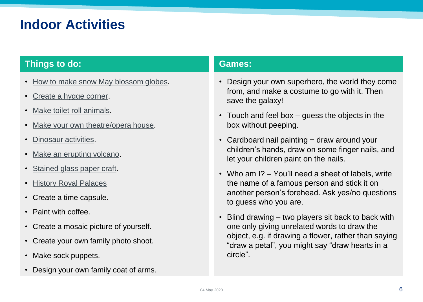# **Indoor Activities**

### **Things to do: Games: Games:**

- [How to make snow May blossom globes.](https://craftulate.com/diy-spring-blossom-snow-globes/)
- [Create a hygge](https://dictionary.cambridge.org/dictionary/english/hygge) corner.
- [Make toilet roll animals](https://www.sandwellresidentials.co.uk/_webedit/uploaded-files/All Files/WHILE WE).
- [Make your own theatre/opera house.](https://learning-platform.roh.org.uk/make-your-own-mini-royal-opera-house?fbclid=IwAR1LKd8x8y8zPmHfgGy7sDj8bjrHw5tLJkmFLWbZX3FkWganudE0QYpxjMg)
- [Dinosaur activities](https://www.nhm.ac.uk/events/dinosaur-activities-for-families.html?fbclid=IwAR3v6X0xa9pgt2cX01nbM1Hmbpp0sSQ2IDOzAd94wfT8yFZu6jnaU_5cXtM).
- [Make an erupting volcano](https://stufftodoathome.com/make-an-erupting-volcano/?fbclid=IwAR1mbfJxUwBwLMdne7MiyGnF7PPgWXjrij7jMjma1REr2PonFuthVXjTk_E).
- [Stained glass paper craft.](https://www.persil.com/uk/dirt-is-good/arts-crafts/show-workings-stained-glass-paper-craft-kids.html)
- [History Royal Palaces](https://www.hrp.org.uk/#gs.5u38zf)
- Create a time capsule.
- Paint with coffee.
- Create a mosaic picture of yourself.
- Create your own family photo shoot.
- Make sock puppets.
- Design your own family coat of arms.

- Design your own superhero, the world they come from, and make a costume to go with it. Then save the galaxy!
- Touch and feel box guess the objects in the box without peeping.
- Cardboard nail painting − draw around your children's hands, draw on some finger nails, and let your children paint on the nails.
- Who am I? You'll need a sheet of labels, write the name of a famous person and stick it on another person's forehead. Ask yes/no questions to guess who you are.
- Blind drawing two players sit back to back with one only giving unrelated words to draw the object, e.g. if drawing a flower, rather than saying "draw a petal", you might say "draw hearts in a circle".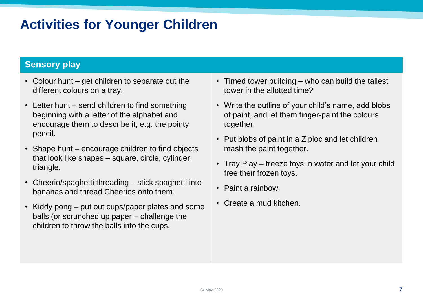# **Activities for Younger Children**

### **Sensory play**

- Colour hunt get children to separate out the different colours on a tray.
- Letter hunt send children to find something beginning with a letter of the alphabet and encourage them to describe it, e.g. the pointy pencil.
- Shape hunt encourage children to find objects that look like shapes – square, circle, cylinder, triangle.
- Cheerio/spaghetti threading stick spaghetti into bananas and thread Cheerios onto them.
- Kiddy pong put out cups/paper plates and some balls (or scrunched up paper – challenge the children to throw the balls into the cups.
- Timed tower building who can build the tallest tower in the allotted time?
- Write the outline of your child's name, add blobs of paint, and let them finger-paint the colours together.
- Put blobs of paint in a Ziploc and let children mash the paint together.
- Tray Play freeze toys in water and let your child free their frozen toys.
- Paint a rainbow.
- Create a mud kitchen.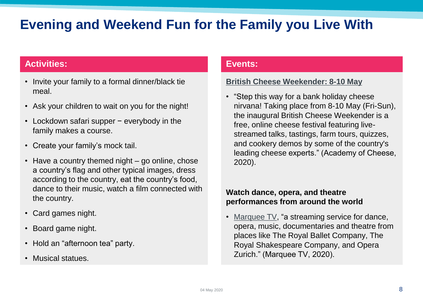# **Evening and Weekend Fun for the Family you Live With**

### **Activities: Events:**

- Invite your family to a formal dinner/black tie meal.
- Ask your children to wait on you for the night!
- Lockdown safari supper − everybody in the family makes a course.
- Create your family's mock tail.
- Have a country themed night go online, chose a country's flag and other typical images, dress according to the country, eat the country's food, dance to their music, watch a film connected with the country.
- Card games night.
- Board game night.
- Hold an "afternoon tea" party.
- Musical statues.

### **[British Cheese Weekender: 8-10 May](https://blog.academyofcheese.org/british-cheese-weekender)**

• "Step this way for a bank holiday cheese nirvana! Taking place from 8-10 May (Fri-Sun), the inaugural British Cheese Weekender is a free, online cheese festival featuring livestreamed talks, tastings, farm tours, quizzes, and cookery demos by some of the country's leading cheese experts." (Academy of Cheese, 2020).

### **Watch dance, opera, and theatre performances from around the world**

• [Marquee TV,](https://www.marquee.tv/) "a streaming service for dance, opera, music, documentaries and theatre from places like The Royal Ballet Company, The Royal Shakespeare Company, and Opera Zurich." (Marquee TV, 2020).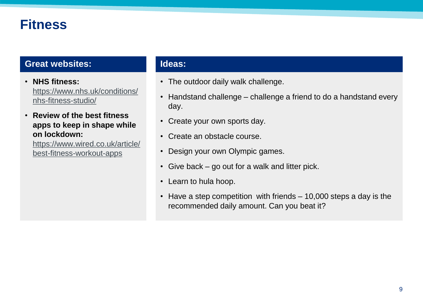# **Fitness**

### **Great websites:**

• **NHS fitness:**  [https://www.nhs.uk/conditions/](https://www.nhs.uk/conditions/nhs-fitness-studio/) nhs-fitness-studio/

• **Review of the best fitness apps to keep in shape while on lockdown:** 

[https://www.wired.co.uk/article/](https://www.wired.co.uk/article/best-fitness-workout-apps) best-fitness-workout-apps

### **Ideas:**

- The outdoor daily walk challenge.
- Handstand challenge challenge a friend to do a handstand every day.
- Create your own sports day.
- Create an obstacle course.
- Design your own Olympic games.
- Give back go out for a walk and litter pick.
- Learn to hula hoop.
- Have a step competition with friends 10,000 steps a day is the recommended daily amount. Can you beat it?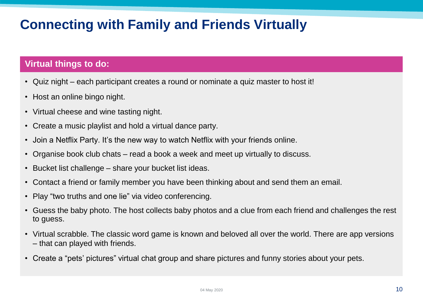# **Connecting with Family and Friends Virtually**

### **Virtual things to do:**

- Quiz night each participant creates a round or nominate a quiz master to host it!
- Host an online bingo night.
- Virtual cheese and wine tasting night.
- Create a music playlist and hold a virtual dance party.
- Join a Netflix Party. It's the new way to watch Netflix with your friends online.
- Organise book club chats read a book a week and meet up virtually to discuss.
- Bucket list challenge share your bucket list ideas.
- Contact a friend or family member you have been thinking about and send them an email.
- Play "two truths and one lie" via video conferencing.
- Guess the baby photo. The host collects baby photos and a clue from each friend and challenges the rest to guess.
- Virtual scrabble. The classic word game is known and beloved all over the world. There are app versions – that can played with friends.
- Create a "pets' pictures" virtual chat group and share pictures and funny stories about your pets.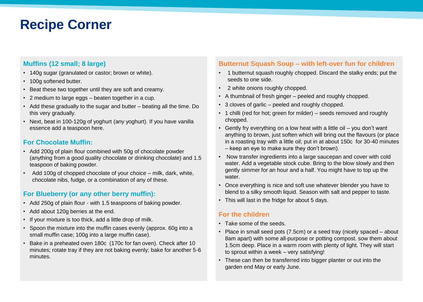# **Recipe Corner**

### **Muffins (12 small; 8 large)**

- 140g sugar (granulated or castor; brown or white).
- 100g softened butter.
- Beat these two together until they are soft and creamy.
- 2 medium to large eggs beaten together in a cup.
- Add these gradually to the sugar and butter beating all the time. Do this very gradually.
- Next, beat in 100-120g of yoghurt (any yoghurt). If you have vanilla essence add a teaspoon here.

### **For Chocolate Muffin:**

- Add 200g of plain flour combined with 50g of chocolate powder (anything from a good quality chocolate or drinking chocolate) and 1.5 teaspoon of baking powder.
- Add 100g of chopped chocolate of your choice milk, dark, white, chocolate nibs, fudge, or a combination of any of these.

### **For Blueberry (or any other berry muffin):**

- Add 250g of plain flour with 1.5 teaspoons of baking powder.
- Add about 120g berries at the end.
- If your mixture is too thick, add a little drop of milk.
- Spoon the mixture into the muffin cases evenly (approx. 60g into a small muffin case; 100g into a large muffin case).
- Bake in a preheated oven 180c (170c for fan oven). Check after 10 minutes; rotate tray if they are not baking evenly; bake for another 5-6 minutes.

### **Butternut Squash Soup – with left-over fun for children**

- 1 butternut squash roughly chopped. Discard the stalky ends; put the seeds to one side.
- 2 white onions roughly chopped.
- A thumbnail of fresh ginger peeled and roughly chopped.
- 3 cloves of garlic peeled and roughly chopped.
- 1 chilli (red for hot; green for milder) seeds removed and roughly chopped.
- Gently fry everything on a low heat with a little oil you don't want anything to brown, just soften which will bring out the flavours (or place in a roasting tray with a little oil; put in at about 150c for 30-40 minutes – keep an eye to make sure they don't brown).
- Now transfer ingredients into a large saucepan and cover with cold water. Add a vegetable stock cube. Bring to the blow slowly and then gently simmer for an hour and a half. You might have to top up the water.
- Once everything is nice and soft use whatever blender you have to blend to a silky smooth liquid. Season with salt and pepper to taste.
- This will last in the fridge for about 5 days.

### **For the children**

- Take some of the seeds.
- Place in small seed pots (7.5cm) or a seed tray (nicely spaced about 8am apart) with some all-purpose or potting compost. sow them about 1.5cm deep. Place in a warm room with plenty of light. They will start to sprout within a week – very satisfying!
- These can then be transferred into bigger planter or out into the garden end May or early June.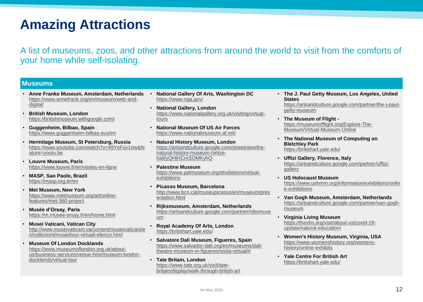# **Amazing Attractions**

A list of museums, zoos, and other attractions from around the world to visit from the comforts of your home while self-isolating.

#### **Museums**

- **Anne Franke Museum, Amsterdam, Netherlands**  [https://www.annefrank.org/en/museum/web-and](https://www.annefrank.org/en/museum/web-and-digital/)digital/
- **British Museum, London**  <https://britishmuseum.withgoogle.com/>
- **Guggenheim, Bilbao, Spain**  <https://www.guggenheim-bilbao.eus/en>
- **Hermitage Museum, St Petersburg, Russia**  [https://www.youtube.com/watch?v=49YeFsx1rIw&fe](https://www.youtube.com/watch?v=49YeFsx1rIw&feature=youtu.be) ature=youtu.be
- **Louvre Museum, Paris**  <https://www.louvre.fr/en/visites-en-ligne>
- **MASP, Sao Paolo, Brazil**  <https://masp.org.br/en>
- **Met Museum, New York**  [https://www.metmuseum.org/art/online](https://www.metmuseum.org/art/online-features/met-360-project)features/met-360-project
- **Musée d'Orsay, Paris**  <https://m.musee-orsay.fr/en/home.html>
- **Musei Vaticani, Vatican City**  [http://www.museivaticani.va/content/museivaticani/e](http://www.museivaticani.va/content/museivaticani/en/collezioni/musei/tour-virtuali-elenco.html) n/collezioni/musei/tour-virtuali-elenco.html
- **Museum Of London Docklands**  https://www.museumoflondon.org.uk/about[us/business-services/venue-hire/museum-london](https://www.museumoflondon.org.uk/about-us/business-services/venue-hire/museum-london-docklands/virtual-tour)docklands/virtual-tour
- **National Gallery Of Arts, Washington DC**  <https://www.nga.gov/>
- **National Gallery, London**  [https://www.nationalgallery.org.uk/visiting/virtual](https://www.nationalgallery.org.uk/visiting/virtual-tours)tours
- **National Museum Of US Air Forces**  <https://www.nationalmuseum.af.mil/>
- **Natural History Museum, London**  [https://artsandculture.google.com/streetview/the](https://artsandculture.google.com/streetview/the-natural-history-museum-hintze-hall/yQHjHCmSOMKyhQ)natural-history-museum-hintzehall/yQHjHCmSOMKyhQ
- **Palestine Museum**  [https://www.palmuseum.org/ehxibitions/virtual](https://www.palmuseum.org/ehxibitions/virtual-exhibitions)exhibitions
- **Picasso Museum, Barcelona**  [http://www.bcn.cat/museupicasso/en/museum/pres](http://www.bcn.cat/museupicasso/en/museum/presentation.html) entation.html
- **Rijksmuseum, Amsterdam, Netherlands**  [https://artsandculture.google.com/partner/rijksmuse](https://artsandculture.google.com/partner/rijksmuseum) um
- **Royal Academy Of Arts, London**  <https://britishart.yale.edu/>
- **Salvatore Dali Museum, Figueres, Spain**  [https://www.salvador-dali.org/en/museums/dali](https://www.salvador-dali.org/en/museums/dali-theatre-museum-in-figueres/visita-virtual/)theatre-museum-in-figueres/visita-virtual/#
- **Tate Britain, London**  https://www.tate.org.uk/visit/tate[britain/display/walk-through-british-art](https://www.tate.org.uk/visit/tate-britain/display/walk-through-british-art)
- **The J. Paul Getty Museum, Los Angeles, United States**  [https://artsandculture.google.com/partner/the-j-paul](https://artsandculture.google.com/partner/the-j-paul-getty-museum)getty-museum
- **The Museum of Flight**  [https://museumofflight.org/Explore-The-](https://museumofflight.org/Explore-The-Museum/Virtual-Museum-Online)Museum/Virtual-Museum-Online
- **The National Museum of Computing on Bletchley Park**  <https://britishart.yale.edu/>
- **Uffizi Gallery, Florence, Italy**  [https://artsandculture.google.com/partner/uffizi](https://artsandculture.google.com/partner/uffizi-gallery)gallery
- **US Holocaust Museum**  [https://www.ushmm.org/information/exhibitions/onlin](https://www.ushmm.org/information/exhibitions/online-exhibitions) e-exhibitions
- **Van Gogh Museum, Amsterdam, Netherlands**  [https://artsandculture.google.com/partner/van-gogh](https://artsandculture.google.com/partner/van-gogh-museum)museum
- **Virginia Living Museum**  [https://thevlm.org/visit/about-us/covid-19](https://thevlm.org/visit/about-us/covid-19-update/natural-education/) update/natural-education/
- **Women's History Museum, Virginia, USA** [https://www.womenshistory.org/womens](https://www.womenshistory.org/womens-history/online-exhibits)history/online-exhibits
- **Yale Centre For British Art**  <https://britishart.yale.edu/>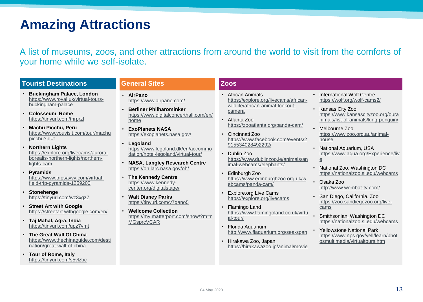# **Amazing Attractions**

A list of museums, zoos, and other attractions from around the world to visit from the comforts of your home while we self-isolate.

#### **Tourist Destinations**

- **Buckingham Palace, London**  [https://www.royal.uk/virtual-tours](https://www.royal.uk/virtual-tours-buckingham-palace)buckingham-palace
- **Colosseum**, **Rome** <https://tinyurl.com/thrprzf>
- **Machu Picchu, Peru**  [https://www.youvisit.com/tour/machu](https://www.youvisit.com/tour/machupicchu?pl=f) picchu?pl=f
- **Northern Lights**  https://explore.org/livecams/aurora[borealis-northern-lights/northern](https://explore.org/livecams/aurora-borealis-northern-lights/northern-lights-cam)lights-cam
- **Pyramids**  [https://www.tripsavvy.com/virtual](https://www.tripsavvy.com/virtual-field-trip-pyramids-1259200)field-trip-pyramids-1259200
- **Stonehenge**  <https://tinyurl.com/wz3xgz7>
- **Street Art with Google** <https://streetart.withgoogle.com/en/>
- **Taj Mahal, Agra, India**  <https://tinyurl.com/qpz7vmt>
- **The Great Wall Of China**  [https://www.thechinaguide.com/desti](https://www.thechinaguide.com/destination/great-wall-of-china) nation/great-wall-of-china
- **Tour of Rome, Italy**  <https://tinyurl.com/s5vlzbc>

#### **General Sites**

- **AirPano** <https://www.airpano.com/>
- **Berliner Philharominker** [https://www.digitalconcerthall.com/en/](https://www.digitalconcerthall.com/en/home) home
- **ExoPlanets NASA**  <https://exoplanets.nasa.gov/>
- **Legoland** [https://www.legoland.dk/en/accommo](https://www.legoland.dk/en/accommodation/hotel-legoland/virtual-tour/) dation/hotel-legoland/virtual-tour/
- **NASA, Langley Research Centre**  <https://oh.larc.nasa.gov/oh/>
- **The Kennedy Centre** https://www.kennedy[center.org/digitalstage/](https://www.kennedy-center.org/digitalstage/)
- **Walt Disney Parks**  <https://tinyurl.com/v7qano5>
- **Wellcome Collection**  [https://my.matterport.com/show/?m=r](https://my.matterport.com/show/?m=rMGsprcVCAR) **MGsprcVCAR**

### **Zoos**

- African Animals [https://explore.org/livecams/african](https://explore.org/livecams/african-wildlife/african-animal-lookout-camera)wildlife/african-animal-lookoutcamera
- Atlanta Zoo <https://zooatlanta.org/panda-cam/>
- Cincinnati Zoo [https://www.facebook.com/events/2](https://www.facebook.com/events/2915534028492292/) 915534028492292/
- Dublin Zoo [https://www.dublinzoo.ie/animals/an](https://www.dublinzoo.ie/animals/animal-webcams/elephants/) imal-webcams/elephants/
- Edinburgh Zoo [https://www.edinburghzoo.org.uk/w](https://www.edinburghzoo.org.uk/webcams/panda-cam/) ebcams/panda-cam/
- Explore.org Live Cams <https://explore.org/livecams>
- Flamingo Land [https://www.flamingoland.co.uk/virtu](https://www.flamingoland.co.uk/virtual-tour/) al-tour/
- Florida Aquarium <http://www.flaquarium.org/sea-span>
- Hirakawa Zoo, Japan <https://hirakawazoo.jp/animal/movie>
- International Wolf Centre <https://wolf.org/wolf-cams2/>
- Kansas City Zoo https://www.kansascityzoo.org/oura [nimals/list-of-animals/king-penguin/](https://www.kansascityzoo.org/ouranimals/list-of-animals/king-penguin/)
- Melbourne Zoo [https://www.zoo.org.au/animal](https://www.zoo.org.au/animal-house)house
- National Aquarium, USA [https://www.aqua.org/Experience/liv](https://www.aqua.org/Experience/live) e
- National Zoo, Washington DC <https://nationalzoo.si.edu/webcams>
- Osaka Zoo <http://www.wombat-tv.com/>
- San Diego, California, Zoo [https://zoo.sandiegozoo.org/live](https://zoo.sandiegozoo.org/live-cams)cams
- Smithsonian, Washington DC <https://nationalzoo.si.edu/webcams>
- Yellowstone National Park [https://www.nps.gov/yell/learn/phot](https://www.nps.gov/yell/learn/photosmultimedia/virtualtours.htm) osmultimedia/virtualtours.htm